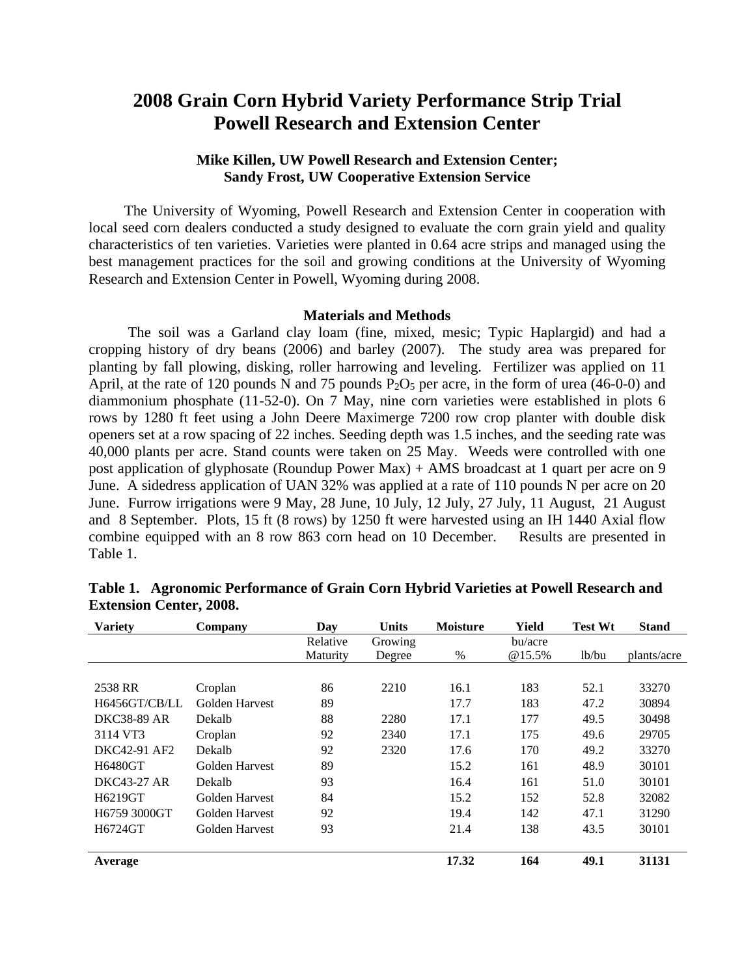# **2008 Grain Corn Hybrid Variety Performance Strip Trial Powell Research and Extension Center**

## **Mike Killen, UW Powell Research and Extension Center; Sandy Frost, UW Cooperative Extension Service**

 The University of Wyoming, Powell Research and Extension Center in cooperation with local seed corn dealers conducted a study designed to evaluate the corn grain yield and quality characteristics of ten varieties. Varieties were planted in 0.64 acre strips and managed using the best management practices for the soil and growing conditions at the University of Wyoming Research and Extension Center in Powell, Wyoming during 2008.

#### **Materials and Methods**

 The soil was a Garland clay loam (fine, mixed, mesic; Typic Haplargid) and had a cropping history of dry beans (2006) and barley (2007). The study area was prepared for planting by fall plowing, disking, roller harrowing and leveling. Fertilizer was applied on 11 April, at the rate of 120 pounds N and 75 pounds  $P_2O_5$  per acre, in the form of urea (46-0-0) and diammonium phosphate (11-52-0). On 7 May, nine corn varieties were established in plots 6 rows by 1280 ft feet using a John Deere Maximerge 7200 row crop planter with double disk openers set at a row spacing of 22 inches. Seeding depth was 1.5 inches, and the seeding rate was 40,000 plants per acre. Stand counts were taken on 25 May. Weeds were controlled with one post application of glyphosate (Roundup Power Max) + AMS broadcast at 1 quart per acre on 9 June. A sidedress application of UAN 32% was applied at a rate of 110 pounds N per acre on 20 June. Furrow irrigations were 9 May, 28 June, 10 July, 12 July, 27 July, 11 August, 21 August and 8 September. Plots, 15 ft (8 rows) by 1250 ft were harvested using an IH 1440 Axial flow combine equipped with an 8 row 863 corn head on 10 December. Results are presented in Table 1.

| <b>Variety</b>     | Company        | Day      | <b>Units</b> | <b>Moisture</b> | Yield   | <b>Test Wt</b> | <b>Stand</b> |
|--------------------|----------------|----------|--------------|-----------------|---------|----------------|--------------|
|                    |                | Relative | Growing      |                 | bu/acre |                |              |
|                    |                | Maturity | Degree       | $\%$            | @15.5%  | lb/bu          | plants/acre  |
|                    |                |          |              |                 |         |                |              |
| 2538 RR            | Croplan        | 86       | 2210         | 16.1            | 183     | 52.1           | 33270        |
| H6456GT/CB/LL      | Golden Harvest | 89       |              | 17.7            | 183     | 47.2           | 30894        |
| <b>DKC38-89 AR</b> | Dekalb         | 88       | 2280         | 17.1            | 177     | 49.5           | 30498        |
| 3114 VT3           | Croplan        | 92       | 2340         | 17.1            | 175     | 49.6           | 29705        |
| DKC42-91 AF2       | Dekalb         | 92       | 2320         | 17.6            | 170     | 49.2           | 33270        |
| H6480GT            | Golden Harvest | 89       |              | 15.2            | 161     | 48.9           | 30101        |
| <b>DKC43-27 AR</b> | Dekalb         | 93       |              | 16.4            | 161     | 51.0           | 30101        |
| H6219GT            | Golden Harvest | 84       |              | 15.2            | 152     | 52.8           | 32082        |
| H6759 3000GT       | Golden Harvest | 92       |              | 19.4            | 142     | 47.1           | 31290        |
| H6724GT            | Golden Harvest | 93       |              | 21.4            | 138     | 43.5           | 30101        |
| Average            |                |          |              | 17.32           | 164     | 49.1           | 31131        |

| Table 1. Agronomic Performance of Grain Corn Hybrid Varieties at Powell Research and |
|--------------------------------------------------------------------------------------|
| <b>Extension Center, 2008.</b>                                                       |